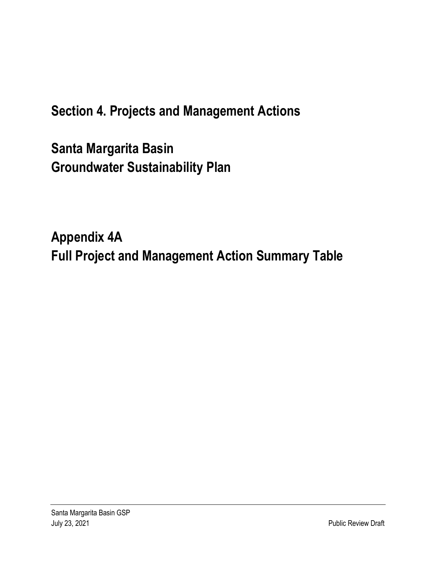# **Section 4. Projects and Management Actions**

**Santa Margarita Basin Groundwater Sustainability Plan**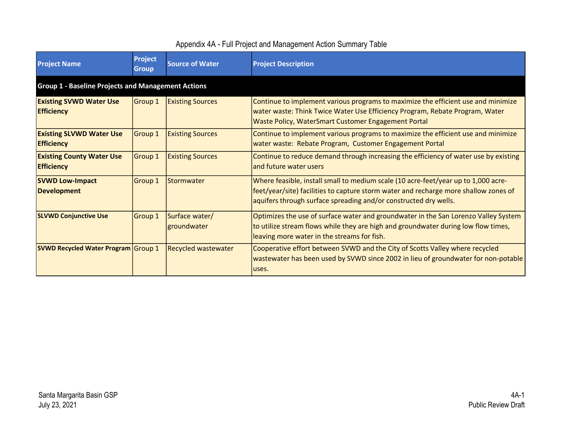| <b>Project Name</b>                                       | <b>Project</b><br><b>Group</b> | <b>Source of Water</b>        | <b>Project Description</b>                                                                                                                                                                                                                     |
|-----------------------------------------------------------|--------------------------------|-------------------------------|------------------------------------------------------------------------------------------------------------------------------------------------------------------------------------------------------------------------------------------------|
| <b>Group 1 - Baseline Projects and Management Actions</b> |                                |                               |                                                                                                                                                                                                                                                |
| <b>Existing SVWD Water Use</b><br><b>Efficiency</b>       | Group 1                        | <b>Existing Sources</b>       | Continue to implement various programs to maximize the efficient use and minimize<br>water waste: Think Twice Water Use Efficiency Program, Rebate Program, Water<br><b>Waste Policy, WaterSmart Customer Engagement Portal</b>                |
| <b>Existing SLVWD Water Use</b><br><b>Efficiency</b>      | Group 1                        | <b>Existing Sources</b>       | Continue to implement various programs to maximize the efficient use and minimize<br>water waste: Rebate Program, Customer Engagement Portal                                                                                                   |
| <b>Existing County Water Use</b><br><b>Efficiency</b>     | Group 1                        | <b>Existing Sources</b>       | Continue to reduce demand through increasing the efficiency of water use by existing<br>land future water users                                                                                                                                |
| <b>SVWD Low-Impact</b><br><b>Development</b>              | Group 1                        | Stormwater                    | Where feasible, install small to medium scale (10 acre-feet/year up to 1,000 acre-<br>feet/year/site) facilities to capture storm water and recharge more shallow zones of<br>aquifers through surface spreading and/or constructed dry wells. |
| <b>SLVWD Conjunctive Use</b>                              | Group 1                        | Surface water/<br>groundwater | Optimizes the use of surface water and groundwater in the San Lorenzo Valley System<br>to utilize stream flows while they are high and groundwater during low flow times,<br>leaving more water in the streams for fish.                       |
| <b>SVWD Recycled Water Program Group 1</b>                |                                | <b>Recycled wastewater</b>    | Cooperative effort between SVWD and the City of Scotts Valley where recycled<br>wastewater has been used by SVWD since 2002 in lieu of groundwater for non-potable<br>luses.                                                                   |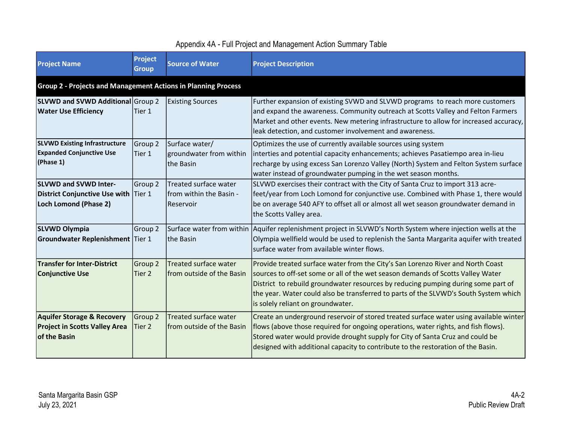| <b>Project Name</b>                                                                           | <b>Project</b><br><b>Group</b>                                       | <b>Source of Water</b>                                          | <b>Project Description</b>                                                                                                                                                                                                                                                                                                                                                           |  |
|-----------------------------------------------------------------------------------------------|----------------------------------------------------------------------|-----------------------------------------------------------------|--------------------------------------------------------------------------------------------------------------------------------------------------------------------------------------------------------------------------------------------------------------------------------------------------------------------------------------------------------------------------------------|--|
|                                                                                               | <b>Group 2 - Projects and Management Actions in Planning Process</b> |                                                                 |                                                                                                                                                                                                                                                                                                                                                                                      |  |
| SLVWD and SVWD Additional Group 2<br><b>Water Use Efficiency</b>                              | Tier 1                                                               | <b>Existing Sources</b>                                         | Further expansion of existing SVWD and SLVWD programs to reach more customers<br>and expand the awareness. Community outreach at Scotts Valley and Felton Farmers<br>Market and other events. New metering infrastructure to allow for increased accuracy,<br>leak detection, and customer involvement and awareness.                                                                |  |
| <b>SLVWD Existing Infrastructure</b><br><b>Expanded Conjunctive Use</b><br>(Phase 1)          | Group 2<br>Tier 1                                                    | Surface water/<br>groundwater from within<br>the Basin          | Optimizes the use of currently available sources using system<br>interties and potential capacity enhancements; achieves Pasatiempo area in-lieu<br>recharge by using excess San Lorenzo Valley (North) System and Felton System surface<br>water instead of groundwater pumping in the wet season months.                                                                           |  |
| <b>SLVWD and SVWD Inter-</b><br>District Conjunctive Use with Tier 1<br>Loch Lomond (Phase 2) | Group 2                                                              | Treated surface water<br>Ifrom within the Basin -<br>lReservoir | SLVWD exercises their contract with the City of Santa Cruz to import 313 acre-<br>feet/year from Loch Lomond for conjunctive use. Combined with Phase 1, there would<br>be on average 540 AFY to offset all or almost all wet season groundwater demand in<br>the Scotts Valley area.                                                                                                |  |
| <b>SLVWD Olympia</b><br><b>Groundwater Replenishment Tier 1</b>                               | Group 2                                                              | the Basin                                                       | Surface water from within Aquifer replenishment project in SLVWD's North System where injection wells at the<br>Olympia wellfield would be used to replenish the Santa Margarita aquifer with treated<br>surface water from available winter flows.                                                                                                                                  |  |
| <b>Transfer for Inter-District</b><br><b>Conjunctive Use</b>                                  | Group 2<br>lTier 2                                                   | Treated surface water<br>from outside of the Basin              | Provide treated surface water from the City's San Lorenzo River and North Coast<br>sources to off-set some or all of the wet season demands of Scotts Valley Water<br>District to rebuild groundwater resources by reducing pumping during some part of<br>the year. Water could also be transferred to parts of the SLVWD's South System which<br>is solely reliant on groundwater. |  |
| <b>Aquifer Storage &amp; Recovery</b><br><b>Project in Scotts Valley Area</b><br>of the Basin | Group 2<br>Tier 2                                                    | Treated surface water<br>from outside of the Basin              | Create an underground reservoir of stored treated surface water using available winter<br>flows (above those required for ongoing operations, water rights, and fish flows).<br>Stored water would provide drought supply for City of Santa Cruz and could be<br>designed with additional capacity to contribute to the restoration of the Basin.                                    |  |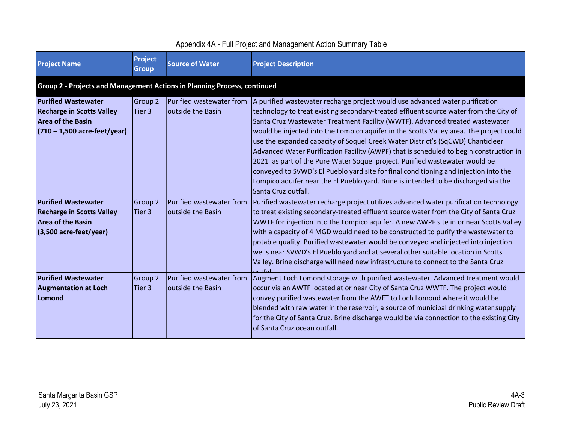| <b>Project Name</b>                                                                                                          | Project<br><b>Group</b> | <b>Source of Water</b>                        | <b>Project Description</b>                                                                                                                                                                                                                                                                                                                                                                                                                                                                                                                                                                                                                                                                                                                                                                                         |
|------------------------------------------------------------------------------------------------------------------------------|-------------------------|-----------------------------------------------|--------------------------------------------------------------------------------------------------------------------------------------------------------------------------------------------------------------------------------------------------------------------------------------------------------------------------------------------------------------------------------------------------------------------------------------------------------------------------------------------------------------------------------------------------------------------------------------------------------------------------------------------------------------------------------------------------------------------------------------------------------------------------------------------------------------------|
| Group 2 - Projects and Management Actions in Planning Process, continued                                                     |                         |                                               |                                                                                                                                                                                                                                                                                                                                                                                                                                                                                                                                                                                                                                                                                                                                                                                                                    |
| <b>Purified Wastewater</b><br><b>Recharge in Scotts Valley</b><br><b>Area of the Basin</b><br>$(710 - 1,500$ acre-feet/year) | Group 2<br>Tier 3       | Purified wastewater from<br>outside the Basin | A purified wastewater recharge project would use advanced water purification<br>technology to treat existing secondary-treated effluent source water from the City of<br>Santa Cruz Wastewater Treatment Facility (WWTF). Advanced treated wastewater<br>would be injected into the Lompico aquifer in the Scotts Valley area. The project could<br>use the expanded capacity of Soquel Creek Water District's (SqCWD) Chanticleer<br>Advanced Water Purification Facility (AWPF) that is scheduled to begin construction in<br>2021 as part of the Pure Water Soquel project. Purified wastewater would be<br>conveyed to SVWD's El Pueblo yard site for final conditioning and injection into the<br>Lompico aquifer near the El Pueblo yard. Brine is intended to be discharged via the<br>lSanta Cruz outfall. |
| <b>Purified Wastewater</b><br><b>Recharge in Scotts Valley</b><br><b>Area of the Basin</b><br>$(3,500$ acre-feet/year)       | Group 2<br>Tier 3       | Purified wastewater from<br>outside the Basin | Purified wastewater recharge project utilizes advanced water purification technology<br>to treat existing secondary-treated effluent source water from the City of Santa Cruz<br>WWTF for injection into the Lompico aquifer. A new AWPF site in or near Scotts Valley<br>with a capacity of 4 MGD would need to be constructed to purify the wastewater to<br>potable quality. Purified wastewater would be conveyed and injected into injection<br>wells near SVWD's El Pueblo yard and at several other suitable location in Scotts<br>Valley. Brine discharge will need new infrastructure to connect to the Santa Cruz<br>$\sim$ utfoll                                                                                                                                                                       |
| <b>Purified Wastewater</b><br><b>Augmentation at Loch</b><br>Lomond                                                          | Group 2<br>Tier 3       | Purified wastewater from<br>outside the Basin | Augment Loch Lomond storage with purified wastewater. Advanced treatment would<br>occur via an AWTF located at or near City of Santa Cruz WWTF. The project would<br>convey purified wastewater from the AWFT to Loch Lomond where it would be<br>blended with raw water in the reservoir, a source of municipal drinking water supply<br>for the City of Santa Cruz. Brine discharge would be via connection to the existing City<br>of Santa Cruz ocean outfall.                                                                                                                                                                                                                                                                                                                                                 |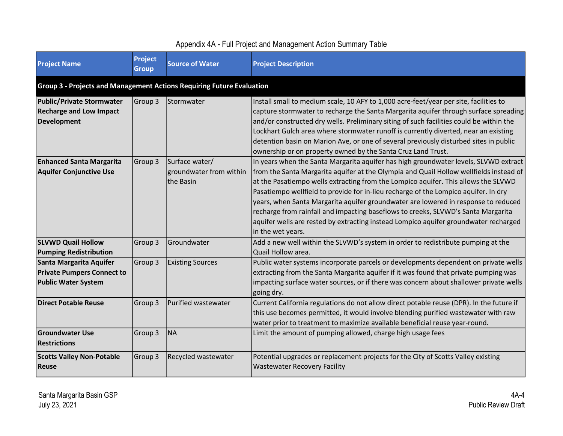| <b>Project Name</b>                                                                        | <b>Project</b><br><b>Group</b> | <b>Source of Water</b>                                 | <b>Project Description</b>                                                                                                                                                                                                                                                                                                                                                                                                                                                                                                                                                                                                                          |
|--------------------------------------------------------------------------------------------|--------------------------------|--------------------------------------------------------|-----------------------------------------------------------------------------------------------------------------------------------------------------------------------------------------------------------------------------------------------------------------------------------------------------------------------------------------------------------------------------------------------------------------------------------------------------------------------------------------------------------------------------------------------------------------------------------------------------------------------------------------------------|
| <b>Group 3 - Projects and Management Actions Requiring Future Evaluation</b>               |                                |                                                        |                                                                                                                                                                                                                                                                                                                                                                                                                                                                                                                                                                                                                                                     |
| <b>Public/Private Stormwater</b><br><b>Recharge and Low Impact</b><br><b>Development</b>   | Group 3                        | Stormwater                                             | Install small to medium scale, 10 AFY to 1,000 acre-feet/year per site, facilities to<br>capture stormwater to recharge the Santa Margarita aquifer through surface spreading<br>and/or constructed dry wells. Preliminary siting of such facilities could be within the<br>Lockhart Gulch area where stormwater runoff is currently diverted, near an existing<br>detention basin on Marion Ave, or one of several previously disturbed sites in public<br>ownership or on property owned by the Santa Cruz Land Trust.                                                                                                                            |
| <b>Enhanced Santa Margarita</b><br><b>Aquifer Conjunctive Use</b>                          | Group 3                        | Surface water/<br>groundwater from within<br>the Basin | In years when the Santa Margarita aquifer has high groundwater levels, SLVWD extract<br>from the Santa Margarita aquifer at the Olympia and Quail Hollow wellfields instead of<br>at the Pasatiempo wells extracting from the Lompico aquifer. This allows the SLVWD<br>Pasatiempo wellfield to provide for in-lieu recharge of the Lompico aquifer. In dry<br>years, when Santa Margarita aquifer groundwater are lowered in response to reduced<br>recharge from rainfall and impacting baseflows to creeks, SLVWD's Santa Margarita<br>aquifer wells are rested by extracting instead Lompico aquifer groundwater recharged<br>in the wet years. |
| <b>SLVWD Quail Hollow</b><br><b>Pumping Redistribution</b>                                 | Group 3                        | Groundwater                                            | Add a new well within the SLVWD's system in order to redistribute pumping at the<br>lQuail Hollow area.                                                                                                                                                                                                                                                                                                                                                                                                                                                                                                                                             |
| Santa Margarita Aquifer<br><b>Private Pumpers Connect to</b><br><b>Public Water System</b> | Group 3                        | <b>Existing Sources</b>                                | Public water systems incorporate parcels or developments dependent on private wells<br>extracting from the Santa Margarita aquifer if it was found that private pumping was<br>impacting surface water sources, or if there was concern about shallower private wells<br>going dry.                                                                                                                                                                                                                                                                                                                                                                 |
| <b>Direct Potable Reuse</b>                                                                | Group 3                        | Purified wastewater                                    | Current California regulations do not allow direct potable reuse (DPR). In the future if<br>this use becomes permitted, it would involve blending purified wastewater with raw<br>water prior to treatment to maximize available beneficial reuse year-round.                                                                                                                                                                                                                                                                                                                                                                                       |
| <b>Groundwater Use</b><br><b>Restrictions</b>                                              | Group 3                        | <b>NA</b>                                              | Limit the amount of pumping allowed, charge high usage fees                                                                                                                                                                                                                                                                                                                                                                                                                                                                                                                                                                                         |
| <b>Scotts Valley Non-Potable</b><br><b>Reuse</b>                                           | Group 3                        | Recycled wastewater                                    | Potential upgrades or replacement projects for the City of Scotts Valley existing<br><b>Wastewater Recovery Facility</b>                                                                                                                                                                                                                                                                                                                                                                                                                                                                                                                            |